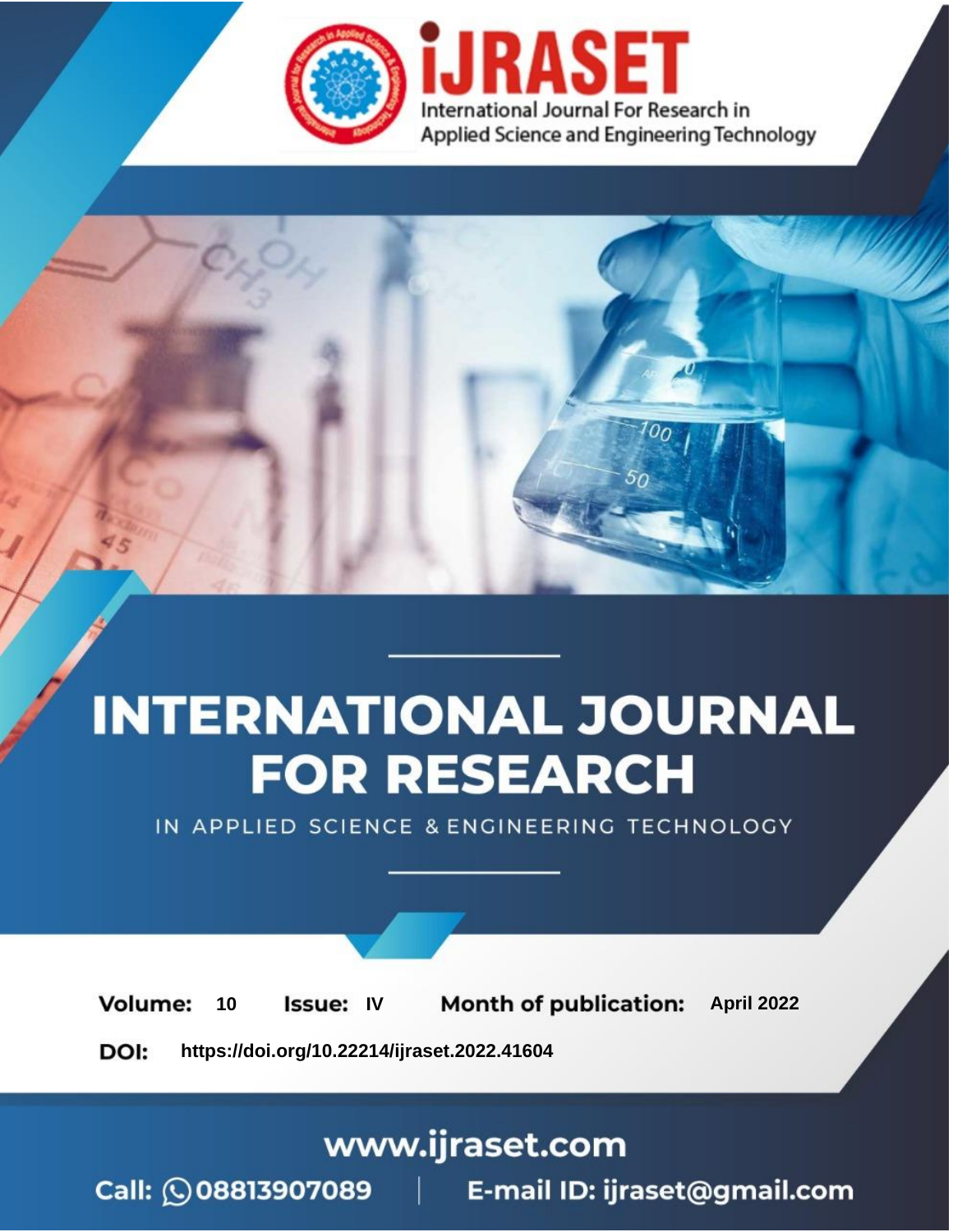

# **INTERNATIONAL JOURNAL FOR RESEARCH**

IN APPLIED SCIENCE & ENGINEERING TECHNOLOGY

10 **Issue: IV Month of publication:** April 2022 **Volume:** 

**https://doi.org/10.22214/ijraset.2022.41604**DOI:

www.ijraset.com

Call: **Q08813907089** E-mail ID: ijraset@gmail.com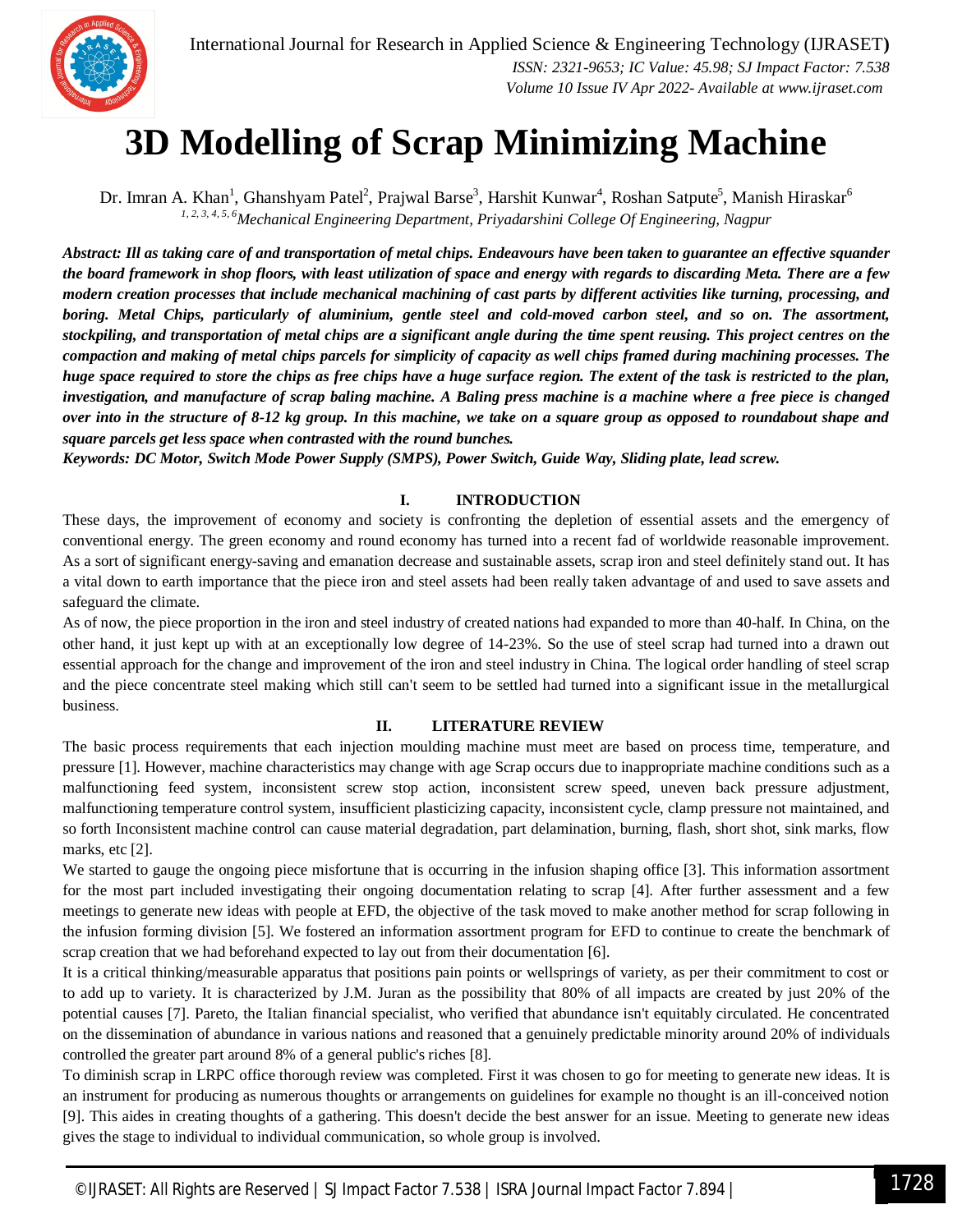

### **3D Modelling of Scrap Minimizing Machine**

Dr. Imran A. Khan<sup>1</sup>, Ghanshyam Patel<sup>2</sup>, Prajwal Barse<sup>3</sup>, Harshit Kunwar<sup>4</sup>, Roshan Satpute<sup>5</sup>, Manish Hiraskar<sup>6</sup> *1, 2, 3, 4, 5, 6Mechanical Engineering Department, Priyadarshini College Of Engineering, Nagpur*

*Abstract: Ill as taking care of and transportation of metal chips. Endeavours have been taken to guarantee an effective squander the board framework in shop floors, with least utilization of space and energy with regards to discarding Meta. There are a few modern creation processes that include mechanical machining of cast parts by different activities like turning, processing, and boring. Metal Chips, particularly of aluminium, gentle steel and cold-moved carbon steel, and so on. The assortment, stockpiling, and transportation of metal chips are a significant angle during the time spent reusing. This project centres on the compaction and making of metal chips parcels for simplicity of capacity as well chips framed during machining processes. The huge space required to store the chips as free chips have a huge surface region. The extent of the task is restricted to the plan, investigation, and manufacture of scrap baling machine. A Baling press machine is a machine where a free piece is changed over into in the structure of 8-12 kg group. In this machine, we take on a square group as opposed to roundabout shape and square parcels get less space when contrasted with the round bunches.*

*Keywords: DC Motor, Switch Mode Power Supply (SMPS), Power Switch, Guide Way, Sliding plate, lead screw.*

#### **I. INTRODUCTION**

These days, the improvement of economy and society is confronting the depletion of essential assets and the emergency of conventional energy. The green economy and round economy has turned into a recent fad of worldwide reasonable improvement. As a sort of significant energy-saving and emanation decrease and sustainable assets, scrap iron and steel definitely stand out. It has a vital down to earth importance that the piece iron and steel assets had been really taken advantage of and used to save assets and safeguard the climate.

As of now, the piece proportion in the iron and steel industry of created nations had expanded to more than 40-half. In China, on the other hand, it just kept up with at an exceptionally low degree of 14-23%. So the use of steel scrap had turned into a drawn out essential approach for the change and improvement of the iron and steel industry in China. The logical order handling of steel scrap and the piece concentrate steel making which still can't seem to be settled had turned into a significant issue in the metallurgical business.

#### **II. LITERATURE REVIEW**

The basic process requirements that each injection moulding machine must meet are based on process time, temperature, and pressure [1]. However, machine characteristics may change with age Scrap occurs due to inappropriate machine conditions such as a malfunctioning feed system, inconsistent screw stop action, inconsistent screw speed, uneven back pressure adjustment, malfunctioning temperature control system, insufficient plasticizing capacity, inconsistent cycle, clamp pressure not maintained, and so forth Inconsistent machine control can cause material degradation, part delamination, burning, flash, short shot, sink marks, flow marks, etc [2].

We started to gauge the ongoing piece misfortune that is occurring in the infusion shaping office [3]. This information assortment for the most part included investigating their ongoing documentation relating to scrap [4]. After further assessment and a few meetings to generate new ideas with people at EFD, the objective of the task moved to make another method for scrap following in the infusion forming division [5]. We fostered an information assortment program for EFD to continue to create the benchmark of scrap creation that we had beforehand expected to lay out from their documentation [6].

It is a critical thinking/measurable apparatus that positions pain points or wellsprings of variety, as per their commitment to cost or to add up to variety. It is characterized by J.M. Juran as the possibility that 80% of all impacts are created by just 20% of the potential causes [7]. Pareto, the Italian financial specialist, who verified that abundance isn't equitably circulated. He concentrated on the dissemination of abundance in various nations and reasoned that a genuinely predictable minority around 20% of individuals controlled the greater part around 8% of a general public's riches [8].

To diminish scrap in LRPC office thorough review was completed. First it was chosen to go for meeting to generate new ideas. It is an instrument for producing as numerous thoughts or arrangements on guidelines for example no thought is an ill-conceived notion [9]. This aides in creating thoughts of a gathering. This doesn't decide the best answer for an issue. Meeting to generate new ideas gives the stage to individual to individual communication, so whole group is involved.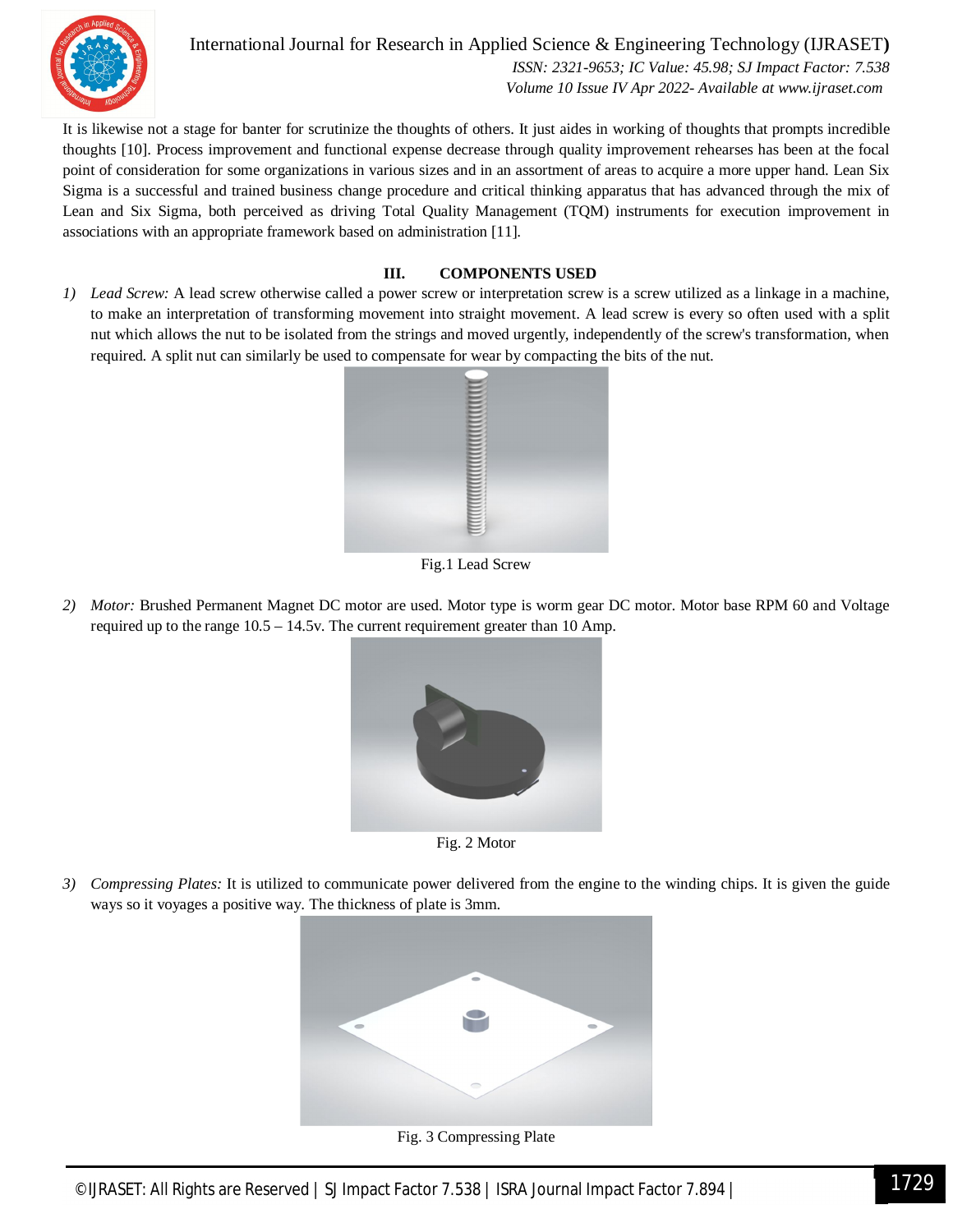

International Journal for Research in Applied Science & Engineering Technology (IJRASET**)**  *ISSN: 2321-9653; IC Value: 45.98; SJ Impact Factor: 7.538 Volume 10 Issue IV Apr 2022- Available at www.ijraset.com*

It is likewise not a stage for banter for scrutinize the thoughts of others. It just aides in working of thoughts that prompts incredible thoughts [10]. Process improvement and functional expense decrease through quality improvement rehearses has been at the focal point of consideration for some organizations in various sizes and in an assortment of areas to acquire a more upper hand. Lean Six Sigma is a successful and trained business change procedure and critical thinking apparatus that has advanced through the mix of Lean and Six Sigma, both perceived as driving Total Quality Management (TQM) instruments for execution improvement in associations with an appropriate framework based on administration [11].

#### **III. COMPONENTS USED**

*1) Lead Screw:* A lead screw otherwise called a power screw or interpretation screw is a screw utilized as a linkage in a machine, to make an interpretation of transforming movement into straight movement. A lead screw is every so often used with a split nut which allows the nut to be isolated from the strings and moved urgently, independently of the screw's transformation, when required. A split nut can similarly be used to compensate for wear by compacting the bits of the nut.



Fig.1 Lead Screw

*2) Motor:* Brushed Permanent Magnet DC motor are used. Motor type is worm gear DC motor. Motor base RPM 60 and Voltage required up to the range 10.5 – 14.5v. The current requirement greater than 10 Amp.



Fig. 2 Motor

*3) Compressing Plates:* It is utilized to communicate power delivered from the engine to the winding chips. It is given the guide ways so it voyages a positive way. The thickness of plate is 3mm.



Fig. 3 Compressing Plate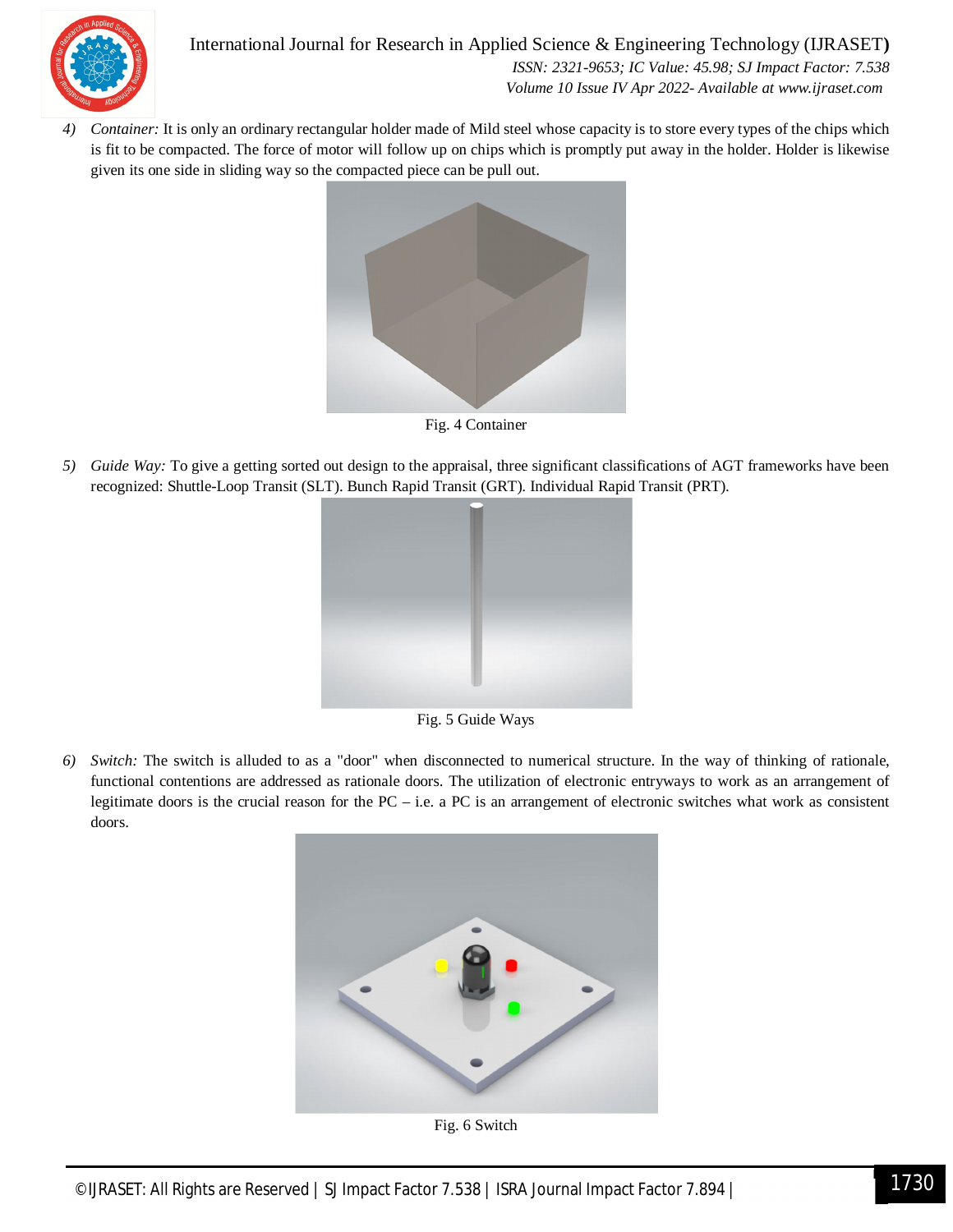

*4) Container:* It is only an ordinary rectangular holder made of Mild steel whose capacity is to store every types of the chips which is fit to be compacted. The force of motor will follow up on chips which is promptly put away in the holder. Holder is likewise given its one side in sliding way so the compacted piece can be pull out.



Fig. 4 Container

*5) Guide Way:* To give a getting sorted out design to the appraisal, three significant classifications of AGT frameworks have been recognized: Shuttle-Loop Transit (SLT). Bunch Rapid Transit (GRT). Individual Rapid Transit (PRT).



Fig. 5 Guide Ways

*6) Switch:* The switch is alluded to as a "door" when disconnected to numerical structure. In the way of thinking of rationale, functional contentions are addressed as rationale doors. The utilization of electronic entryways to work as an arrangement of legitimate doors is the crucial reason for the PC – i.e. a PC is an arrangement of electronic switches what work as consistent doors.



Fig. 6 Switch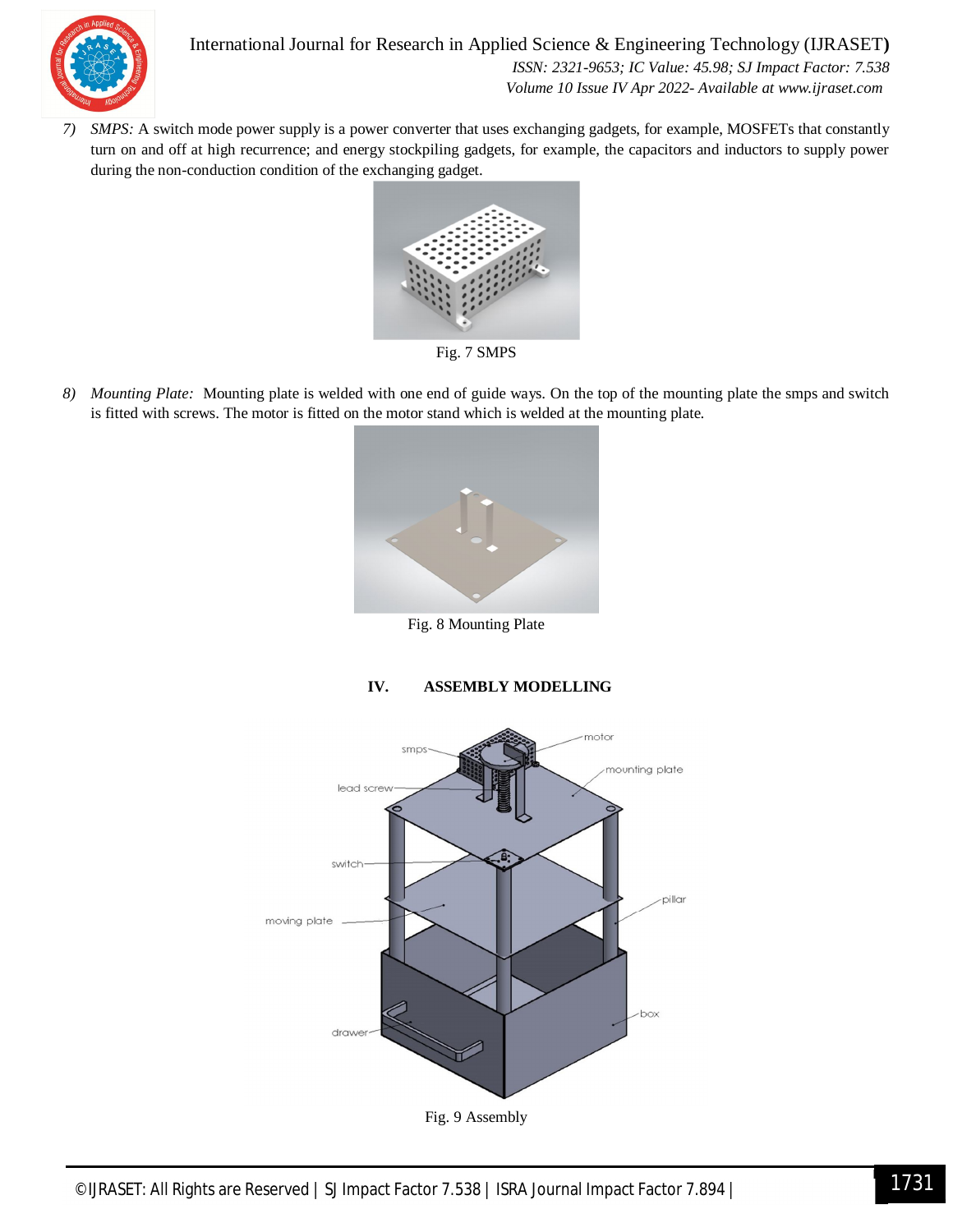

International Journal for Research in Applied Science & Engineering Technology (IJRASET**)**  *ISSN: 2321-9653; IC Value: 45.98; SJ Impact Factor: 7.538 Volume 10 Issue IV Apr 2022- Available at www.ijraset.com*

*7) SMPS:* A switch mode power supply is a power converter that uses exchanging gadgets, for example, MOSFETs that constantly turn on and off at high recurrence; and energy stockpiling gadgets, for example, the capacitors and inductors to supply power during the non-conduction condition of the exchanging gadget.



Fig. 7 SMPS

*8) Mounting Plate:* Mounting plate is welded with one end of guide ways. On the top of the mounting plate the smps and switch is fitted with screws. The motor is fitted on the motor stand which is welded at the mounting plate.



Fig. 8 Mounting Plate



#### **IV. ASSEMBLY MODELLING**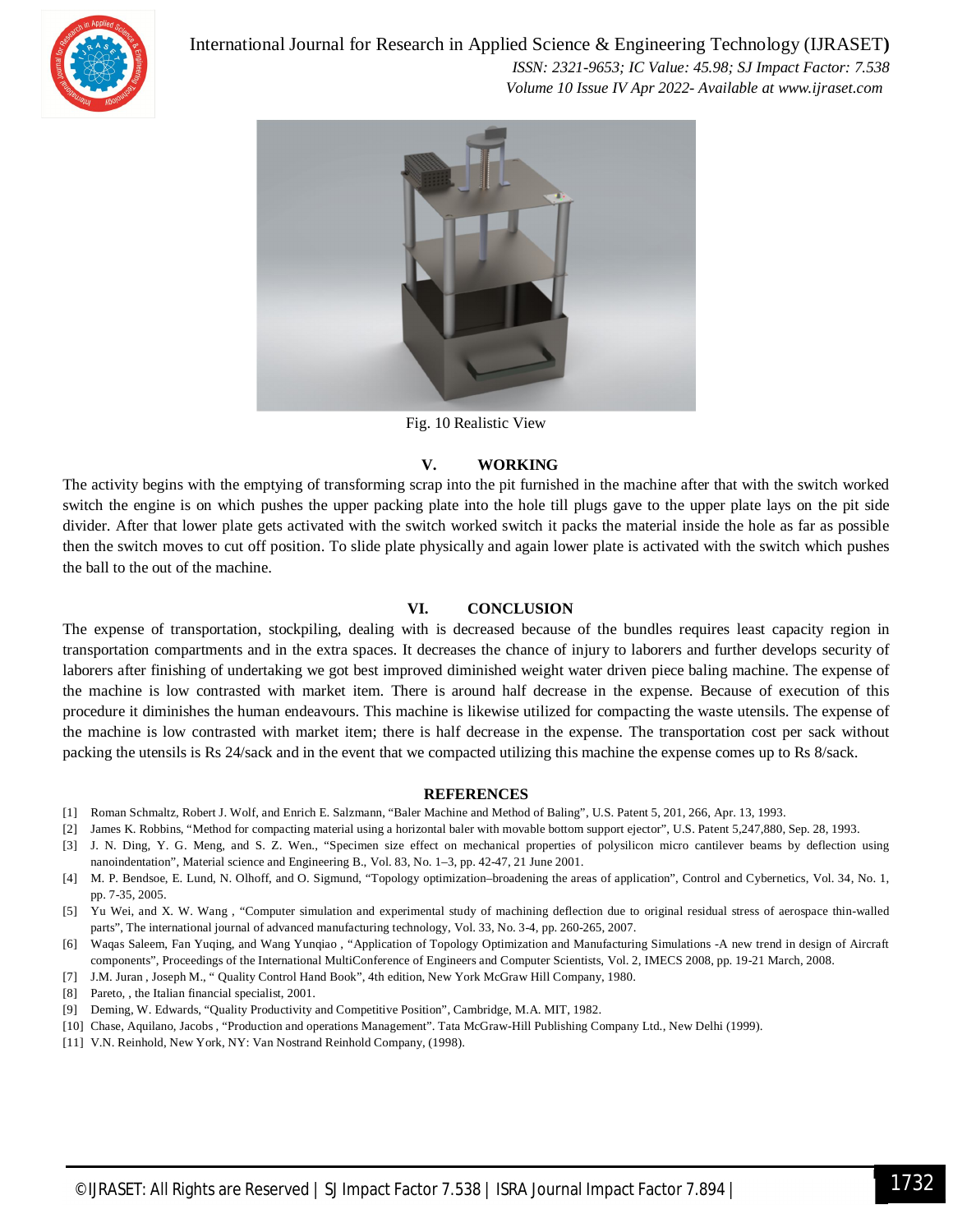

International Journal for Research in Applied Science & Engineering Technology (IJRASET**)**

 *ISSN: 2321-9653; IC Value: 45.98; SJ Impact Factor: 7.538 Volume 10 Issue IV Apr 2022- Available at www.ijraset.com*



Fig. 10 Realistic View

#### **V. WORKING**

The activity begins with the emptying of transforming scrap into the pit furnished in the machine after that with the switch worked switch the engine is on which pushes the upper packing plate into the hole till plugs gave to the upper plate lays on the pit side divider. After that lower plate gets activated with the switch worked switch it packs the material inside the hole as far as possible then the switch moves to cut off position. To slide plate physically and again lower plate is activated with the switch which pushes the ball to the out of the machine.

#### **VI. CONCLUSION**

The expense of transportation, stockpiling, dealing with is decreased because of the bundles requires least capacity region in transportation compartments and in the extra spaces. It decreases the chance of injury to laborers and further develops security of laborers after finishing of undertaking we got best improved diminished weight water driven piece baling machine. The expense of the machine is low contrasted with market item. There is around half decrease in the expense. Because of execution of this procedure it diminishes the human endeavours. This machine is likewise utilized for compacting the waste utensils. The expense of the machine is low contrasted with market item; there is half decrease in the expense. The transportation cost per sack without packing the utensils is Rs 24/sack and in the event that we compacted utilizing this machine the expense comes up to Rs 8/sack.

#### **REFERENCES**

- [1] Roman Schmaltz, Robert J. Wolf, and Enrich E. Salzmann, "Baler Machine and Method of Baling", U.S. Patent 5, 201, 266, Apr. 13, 1993.
- [2] James K. Robbins, "Method for compacting material using a horizontal baler with movable bottom support ejector", U.S. Patent 5,247,880, Sep. 28, 1993.
- [3] J. N. Ding, Y. G. Meng, and S. Z. Wen., "Specimen size effect on mechanical properties of polysilicon micro cantilever beams by deflection using nanoindentation", Material science and Engineering B., Vol. 83, No. 1–3, pp. 42-47, 21 June 2001.
- [4] M. P. Bendsoe, E. Lund, N. Olhoff, and O. Sigmund, "Topology optimization–broadening the areas of application", Control and Cybernetics, Vol. 34, No. 1, pp. 7-35, 2005.
- [5] Yu Wei, and X. W. Wang , "Computer simulation and experimental study of machining deflection due to original residual stress of aerospace thin-walled parts", The international journal of advanced manufacturing technology, Vol. 33, No. 3-4, pp. 260-265, 2007.
- [6] Waqas Saleem, Fan Yuqing, and Wang Yunqiao , "Application of Topology Optimization and Manufacturing Simulations -A new trend in design of Aircraft components", Proceedings of the International MultiConference of Engineers and Computer Scientists, Vol. 2, IMECS 2008, pp. 19-21 March, 2008.
- [7] J.M. Juran , Joseph M., " Quality Control Hand Book", 4th edition, New York McGraw Hill Company, 1980.
- [8] Pareto, , the Italian financial specialist, 2001.
- [9] Deming, W. Edwards, "Quality Productivity and Competitive Position", Cambridge, M.A. MIT, 1982.
- [10] Chase, Aquilano, Jacobs , "Production and operations Management". Tata McGraw-Hill Publishing Company Ltd., New Delhi (1999).
- [11] V.N. Reinhold, New York, NY: Van Nostrand Reinhold Company, (1998).